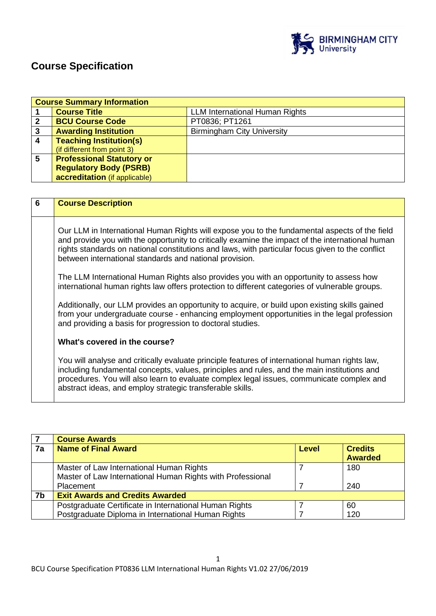

# **Course Specification**

|   | <b>Course Summary Information</b> |                                       |
|---|-----------------------------------|---------------------------------------|
|   | <b>Course Title</b>               | <b>LLM International Human Rights</b> |
| 2 | <b>BCU Course Code</b>            | PT0836; PT1261                        |
| 3 | <b>Awarding Institution</b>       | <b>Birmingham City University</b>     |
| 4 | <b>Teaching Institution(s)</b>    |                                       |
|   | (if different from point 3)       |                                       |
| 5 | <b>Professional Statutory or</b>  |                                       |
|   | <b>Regulatory Body (PSRB)</b>     |                                       |
|   | accreditation (if applicable)     |                                       |

| $6\phantom{1}6$ | <b>Course Description</b>                                                                                                                                                                                                                                                                                                                                        |
|-----------------|------------------------------------------------------------------------------------------------------------------------------------------------------------------------------------------------------------------------------------------------------------------------------------------------------------------------------------------------------------------|
|                 | Our LLM in International Human Rights will expose you to the fundamental aspects of the field<br>and provide you with the opportunity to critically examine the impact of the international human<br>rights standards on national constitutions and laws, with particular focus given to the conflict<br>between international standards and national provision. |
|                 | The LLM International Human Rights also provides you with an opportunity to assess how<br>international human rights law offers protection to different categories of vulnerable groups.                                                                                                                                                                         |
|                 | Additionally, our LLM provides an opportunity to acquire, or build upon existing skills gained<br>from your undergraduate course - enhancing employment opportunities in the legal profession<br>and providing a basis for progression to doctoral studies.                                                                                                      |
|                 | What's covered in the course?                                                                                                                                                                                                                                                                                                                                    |
|                 | You will analyse and critically evaluate principle features of international human rights law,<br>including fundamental concepts, values, principles and rules, and the main institutions and<br>procedures. You will also learn to evaluate complex legal issues, communicate complex and<br>abstract ideas, and employ strategic transferable skills.          |

|    | <b>Course Awards</b>                                       |       |                |
|----|------------------------------------------------------------|-------|----------------|
| 7a | <b>Name of Final Award</b>                                 | Level | <b>Credits</b> |
|    |                                                            |       | <b>Awarded</b> |
|    | Master of Law International Human Rights                   |       | 180            |
|    | Master of Law International Human Rights with Professional |       |                |
|    | Placement                                                  |       | 240            |
| 7b | <b>Exit Awards and Credits Awarded</b>                     |       |                |
|    | Postgraduate Certificate in International Human Rights     |       | 60             |
|    | Postgraduate Diploma in International Human Rights         |       | 120            |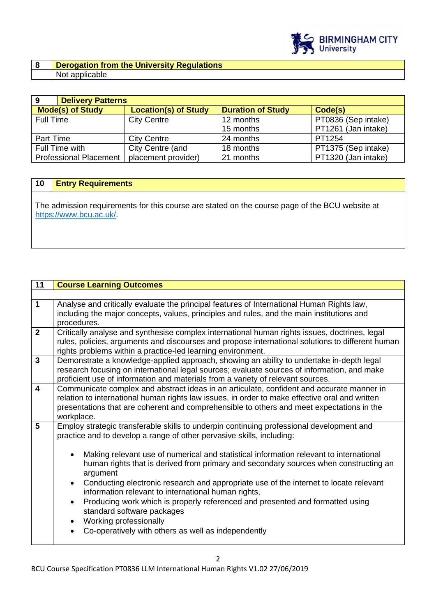

### **8 Derogation from the University Regulations**  Not applicable

| 9                             | <b>Delivery Patterns</b> |                             |                          |                     |
|-------------------------------|--------------------------|-----------------------------|--------------------------|---------------------|
| <b>Mode(s) of Study</b>       |                          | <b>Location(s) of Study</b> | <b>Duration of Study</b> | Code(s)             |
| Full Time                     |                          | <b>City Centre</b>          | 12 months                | PT0836 (Sep intake) |
|                               |                          |                             | 15 months                | PT1261 (Jan intake) |
| Part Time                     |                          | <b>City Centre</b>          | 24 months                | PT1254              |
| Full Time with                |                          | City Centre (and            | 18 months                | PT1375 (Sep intake) |
| <b>Professional Placement</b> |                          | placement provider)         | 21 months                | PT1320 (Jan intake) |

## **10 Entry Requirements**

The admission requirements for this course are stated on the course page of the BCU website at [https://www.bcu.ac.uk/.](https://www.bcu.ac.uk/)

| 11                      | <b>Course Learning Outcomes</b>                                                                                                                                                             |  |
|-------------------------|---------------------------------------------------------------------------------------------------------------------------------------------------------------------------------------------|--|
|                         |                                                                                                                                                                                             |  |
| $\mathbf{1}$            | Analyse and critically evaluate the principal features of International Human Rights law,<br>including the major concepts, values, principles and rules, and the main institutions and      |  |
|                         | procedures.                                                                                                                                                                                 |  |
| $\overline{2}$          | Critically analyse and synthesise complex international human rights issues, doctrines, legal                                                                                               |  |
|                         | rules, policies, arguments and discourses and propose international solutions to different human<br>rights problems within a practice-led learning environment.                             |  |
| $\overline{3}$          | Demonstrate a knowledge-applied approach, showing an ability to undertake in-depth legal                                                                                                    |  |
|                         | research focusing on international legal sources; evaluate sources of information, and make<br>proficient use of information and materials from a variety of relevant sources.              |  |
| $\overline{\mathbf{4}}$ | Communicate complex and abstract ideas in an articulate, confident and accurate manner in                                                                                                   |  |
|                         | relation to international human rights law issues, in order to make effective oral and written<br>presentations that are coherent and comprehensible to others and meet expectations in the |  |
|                         | workplace.                                                                                                                                                                                  |  |
| 5                       | Employ strategic transferable skills to underpin continuing professional development and                                                                                                    |  |
|                         | practice and to develop a range of other pervasive skills, including:                                                                                                                       |  |
|                         | Making relevant use of numerical and statistical information relevant to international<br>$\bullet$                                                                                         |  |
|                         | human rights that is derived from primary and secondary sources when constructing an<br>argument                                                                                            |  |
|                         | Conducting electronic research and appropriate use of the internet to locate relevant<br>$\bullet$<br>information relevant to international human rights,                                   |  |
|                         | Producing work which is properly referenced and presented and formatted using<br>$\bullet$<br>standard software packages                                                                    |  |
|                         | Working professionally<br>$\bullet$                                                                                                                                                         |  |
|                         | Co-operatively with others as well as independently<br>$\bullet$                                                                                                                            |  |
|                         |                                                                                                                                                                                             |  |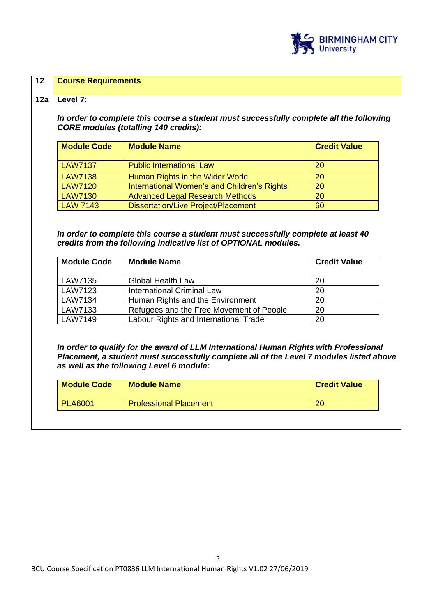

| <b>LAW7137</b><br><b>LAW7138</b> | <b>Public International Law</b>                                                                                                                                            | <b>Module Code</b><br><b>Module Name</b><br><b>Credit Value</b> |  |
|----------------------------------|----------------------------------------------------------------------------------------------------------------------------------------------------------------------------|-----------------------------------------------------------------|--|
|                                  |                                                                                                                                                                            | 20                                                              |  |
|                                  | Human Rights in the Wider World                                                                                                                                            | 20                                                              |  |
| <b>LAW7120</b>                   | International Women's and Children's Rights                                                                                                                                | 20                                                              |  |
| <b>LAW7130</b>                   | <b>Advanced Legal Research Methods</b>                                                                                                                                     | 20                                                              |  |
| <b>LAW 7143</b>                  | <b>Dissertation/Live Project/Placement</b>                                                                                                                                 | 60                                                              |  |
| <b>Module Code</b>               | In order to complete this course a student must successfully complete at least 40<br>credits from the following indicative list of OPTIONAL modules.<br><b>Module Name</b> | <b>Credit Value</b>                                             |  |
|                                  |                                                                                                                                                                            |                                                                 |  |
| LAW7135                          | <b>Global Health Law</b>                                                                                                                                                   | 20                                                              |  |
| <b>LAW7123</b>                   | <b>International Criminal Law</b>                                                                                                                                          | 20<br>20                                                        |  |
| LAW7134<br>LAW7133               | Human Rights and the Environment<br>Refugees and the Free Movement of People                                                                                               | 20                                                              |  |

 $\mathsf{l}$ 

 $\sim$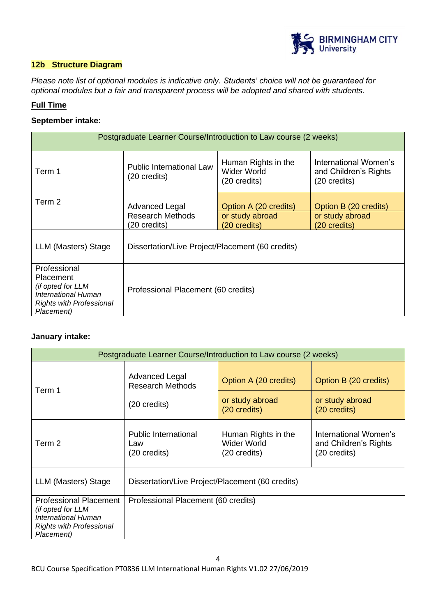

### **12b Structure Diagram**

*Please note list of optional modules is indicative only. Students' choice will not be guaranteed for optional modules but a fair and transparent process will be adopted and shared with students.*

### **Full Time**

### **September intake:**

| Postgraduate Learner Course/Introduction to Law course (2 weeks)                                                                                              |                                                                  |                                                           |                                                                |  |
|---------------------------------------------------------------------------------------------------------------------------------------------------------------|------------------------------------------------------------------|-----------------------------------------------------------|----------------------------------------------------------------|--|
| Term 1                                                                                                                                                        | <b>Public International Law</b><br>$(20 \text{ credits})$        | Human Rights in the<br><b>Wider World</b><br>(20 credits) | International Women's<br>and Children's Rights<br>(20 credits) |  |
| Term 2                                                                                                                                                        | <b>Advanced Legal</b><br><b>Research Methods</b><br>(20 credits) | Option A (20 credits)<br>or study abroad<br>(20 credits)  | Option B (20 credits)<br>or study abroad<br>(20 credits)       |  |
| LLM (Masters) Stage                                                                                                                                           | Dissertation/Live Project/Placement (60 credits)                 |                                                           |                                                                |  |
| Professional<br>Placement<br>(if opted for LLM<br>Professional Placement (60 credits)<br>International Human<br><b>Rights with Professional</b><br>Placement) |                                                                  |                                                           |                                                                |  |

### **January intake:**

|                                                                                                                            | Postgraduate Learner Course/Introduction to Law course (2 weeks) |                                                          |                                                                |  |  |
|----------------------------------------------------------------------------------------------------------------------------|------------------------------------------------------------------|----------------------------------------------------------|----------------------------------------------------------------|--|--|
| Term 1                                                                                                                     | Advanced Legal<br><b>Research Methods</b><br>(20 credits)        | Option A (20 credits)<br>or study abroad<br>(20 credits) | Option B (20 credits)<br>or study abroad<br>(20 credits)       |  |  |
| Term 2                                                                                                                     | <b>Public International</b><br>Law<br>(20 credits)               | Human Rights in the<br>Wider World<br>(20 credits)       | International Women's<br>and Children's Rights<br>(20 credits) |  |  |
| LLM (Masters) Stage                                                                                                        | Dissertation/Live Project/Placement (60 credits)                 |                                                          |                                                                |  |  |
| <b>Professional Placement</b><br>(if opted for LLM<br>International Human<br><b>Rights with Professional</b><br>Placement) | Professional Placement (60 credits)                              |                                                          |                                                                |  |  |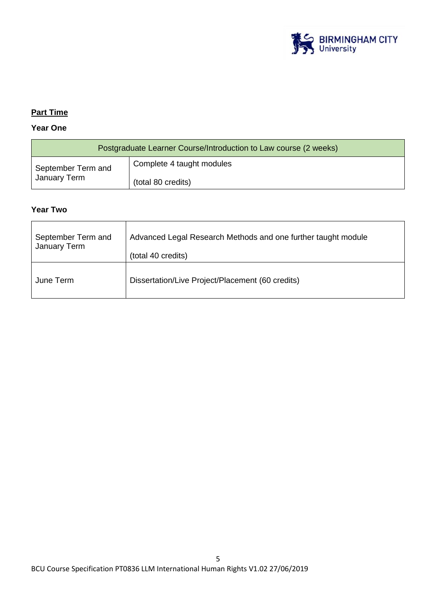

# **Part Time**

# **Year One**

| Postgraduate Learner Course/Introduction to Law course (2 weeks) |                           |  |
|------------------------------------------------------------------|---------------------------|--|
| September Term and                                               | Complete 4 taught modules |  |
| January Term                                                     | (total 80 credits)        |  |

### **Year Two**

| September Term and | Advanced Legal Research Methods and one further taught module |
|--------------------|---------------------------------------------------------------|
| January Term       | (total 40 credits)                                            |
| June Term          | Dissertation/Live Project/Placement (60 credits)              |